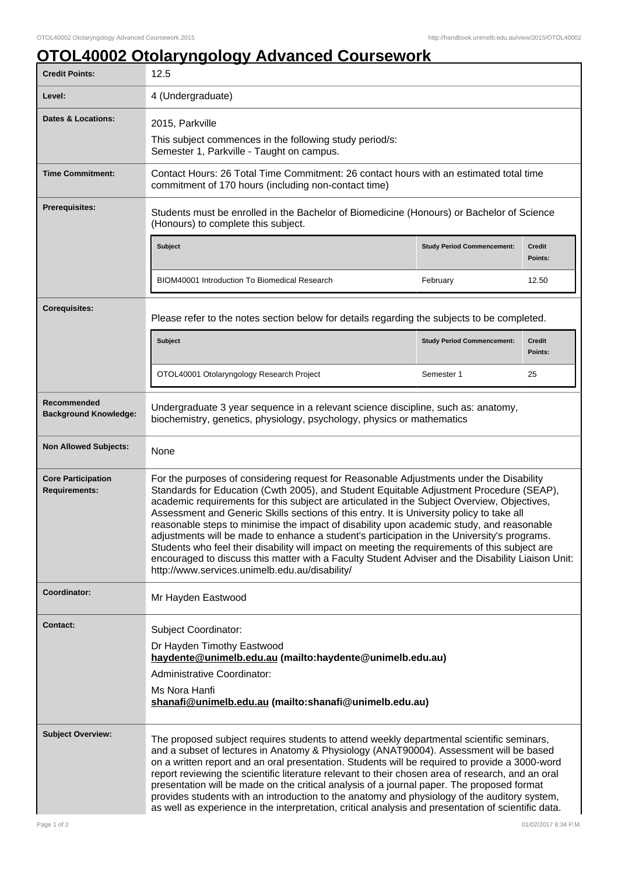## **OTOL40002 Otolaryngology Advanced Coursework**

| <b>Credit Points:</b>                             | 12.5                                                                                                                                                                                                                                                                                                                                                                                                                                                                                                                                                                                                                                                                                                                                                                                                                                |                                   |                          |
|---------------------------------------------------|-------------------------------------------------------------------------------------------------------------------------------------------------------------------------------------------------------------------------------------------------------------------------------------------------------------------------------------------------------------------------------------------------------------------------------------------------------------------------------------------------------------------------------------------------------------------------------------------------------------------------------------------------------------------------------------------------------------------------------------------------------------------------------------------------------------------------------------|-----------------------------------|--------------------------|
| Level:                                            | 4 (Undergraduate)                                                                                                                                                                                                                                                                                                                                                                                                                                                                                                                                                                                                                                                                                                                                                                                                                   |                                   |                          |
| Dates & Locations:                                | 2015, Parkville<br>This subject commences in the following study period/s:<br>Semester 1, Parkville - Taught on campus.                                                                                                                                                                                                                                                                                                                                                                                                                                                                                                                                                                                                                                                                                                             |                                   |                          |
| <b>Time Commitment:</b>                           | Contact Hours: 26 Total Time Commitment: 26 contact hours with an estimated total time<br>commitment of 170 hours (including non-contact time)                                                                                                                                                                                                                                                                                                                                                                                                                                                                                                                                                                                                                                                                                      |                                   |                          |
| <b>Prerequisites:</b>                             | Students must be enrolled in the Bachelor of Biomedicine (Honours) or Bachelor of Science<br>(Honours) to complete this subject.                                                                                                                                                                                                                                                                                                                                                                                                                                                                                                                                                                                                                                                                                                    |                                   |                          |
|                                                   | Subject                                                                                                                                                                                                                                                                                                                                                                                                                                                                                                                                                                                                                                                                                                                                                                                                                             | <b>Study Period Commencement:</b> | <b>Credit</b><br>Points: |
|                                                   | <b>BIOM40001 Introduction To Biomedical Research</b>                                                                                                                                                                                                                                                                                                                                                                                                                                                                                                                                                                                                                                                                                                                                                                                | February                          | 12.50                    |
| <b>Corequisites:</b>                              | Please refer to the notes section below for details regarding the subjects to be completed.                                                                                                                                                                                                                                                                                                                                                                                                                                                                                                                                                                                                                                                                                                                                         |                                   |                          |
|                                                   | Subject                                                                                                                                                                                                                                                                                                                                                                                                                                                                                                                                                                                                                                                                                                                                                                                                                             | <b>Study Period Commencement:</b> | <b>Credit</b><br>Points: |
|                                                   | OTOL40001 Otolaryngology Research Project                                                                                                                                                                                                                                                                                                                                                                                                                                                                                                                                                                                                                                                                                                                                                                                           | Semester 1                        | 25                       |
| Recommended<br><b>Background Knowledge:</b>       | Undergraduate 3 year sequence in a relevant science discipline, such as: anatomy,<br>biochemistry, genetics, physiology, psychology, physics or mathematics                                                                                                                                                                                                                                                                                                                                                                                                                                                                                                                                                                                                                                                                         |                                   |                          |
| <b>Non Allowed Subjects:</b>                      | None                                                                                                                                                                                                                                                                                                                                                                                                                                                                                                                                                                                                                                                                                                                                                                                                                                |                                   |                          |
| <b>Core Participation</b><br><b>Requirements:</b> | For the purposes of considering request for Reasonable Adjustments under the Disability<br>Standards for Education (Cwth 2005), and Student Equitable Adjustment Procedure (SEAP),<br>academic requirements for this subject are articulated in the Subject Overview, Objectives,<br>Assessment and Generic Skills sections of this entry. It is University policy to take all<br>reasonable steps to minimise the impact of disability upon academic study, and reasonable<br>adjustments will be made to enhance a student's participation in the University's programs.<br>Students who feel their disability will impact on meeting the requirements of this subject are<br>encouraged to discuss this matter with a Faculty Student Adviser and the Disability Liaison Unit:<br>http://www.services.unimelb.edu.au/disability/ |                                   |                          |
| <b>Coordinator:</b>                               | Mr Hayden Eastwood                                                                                                                                                                                                                                                                                                                                                                                                                                                                                                                                                                                                                                                                                                                                                                                                                  |                                   |                          |
| <b>Contact:</b>                                   | Subject Coordinator:<br>Dr Hayden Timothy Eastwood<br>haydente@unimelb.edu.au (mailto:haydente@unimelb.edu.au)<br>Administrative Coordinator:<br>Ms Nora Hanfi<br>shanafi@unimelb.edu.au (mailto:shanafi@unimelb.edu.au)                                                                                                                                                                                                                                                                                                                                                                                                                                                                                                                                                                                                            |                                   |                          |
| <b>Subject Overview:</b>                          | The proposed subject requires students to attend weekly departmental scientific seminars,<br>and a subset of lectures in Anatomy & Physiology (ANAT90004). Assessment will be based<br>on a written report and an oral presentation. Students will be required to provide a 3000-word<br>report reviewing the scientific literature relevant to their chosen area of research, and an oral<br>presentation will be made on the critical analysis of a journal paper. The proposed format<br>provides students with an introduction to the anatomy and physiology of the auditory system,<br>as well as experience in the interpretation, critical analysis and presentation of scientific data.                                                                                                                                     |                                   |                          |